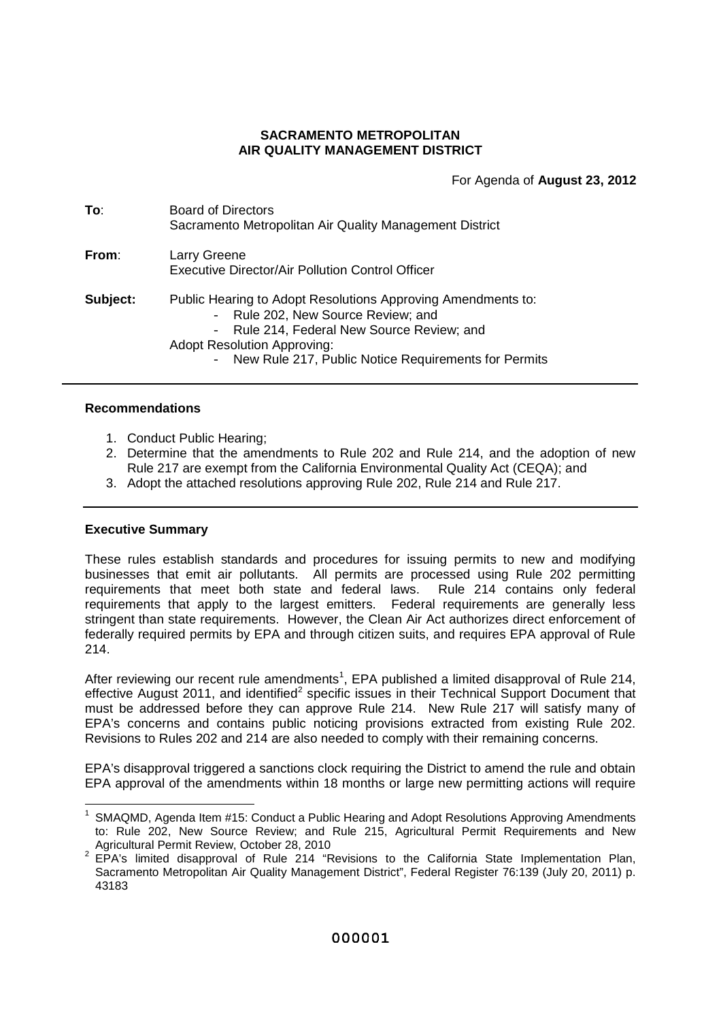### **SACRAMENTO METROPOLITAN AIR QUALITY MANAGEMENT DISTRICT**

For Agenda of **August 23, 2012**

| To∶      | Board of Directors<br>Sacramento Metropolitan Air Quality Management District                                                                                                                                                                                          |
|----------|------------------------------------------------------------------------------------------------------------------------------------------------------------------------------------------------------------------------------------------------------------------------|
| From:    | Larry Greene<br>Executive Director/Air Pollution Control Officer                                                                                                                                                                                                       |
| Subject: | Public Hearing to Adopt Resolutions Approving Amendments to:<br>- Rule 202, New Source Review; and<br>Rule 214, Federal New Source Review; and<br>$\frac{1}{2}$<br><b>Adopt Resolution Approving:</b><br>New Rule 217, Public Notice Requirements for Permits<br>$ \,$ |

### **Recommendations**

- 1. Conduct Public Hearing;
- 2. Determine that the amendments to Rule 202 and Rule 214, and the adoption of new Rule 217 are exempt from the California Environmental Quality Act (CEQA); and
- 3. Adopt the attached resolutions approving Rule 202, Rule 214 and Rule 217.

### **Executive Summary**

These rules establish standards and procedures for issuing permits to new and modifying businesses that emit air pollutants. All permits are processed using Rule 202 permitting requirements that meet both state and federal laws. Rule 214 contains only federal requirements that apply to the largest emitters. Federal requirements are generally less stringent than state requirements. However, the Clean Air Act authorizes direct enforcement of federally required permits by EPA and through citizen suits, and requires EPA approval of Rule 214.

After reviewing our recent rule amendments<sup>1</sup>, EPA published a limited disapproval of Rule 214, effective August 2011, and identified<sup>2</sup> specific issues in their Technical Support Document that must be addressed before they can approve Rule 214. New Rule 217 will satisfy many of EPA's concerns and contains public noticing provisions extracted from existing Rule 202. Revisions to Rules 202 and 214 are also needed to comply with their remaining concerns.

EPA's disapproval triggered a sanctions clock requiring the District to amend the rule and obtain EPA approval of the amendments within 18 months or large new permitting actions will require

<sup>&</sup>lt;sup>1</sup> SMAQMD, Agenda Item #15: Conduct a Public Hearing and Adopt Resolutions Approving Amendments to: Rule 202, New Source Review; and Rule 215, Agricultural Permit Requirements and New Agricultural Permit Review, October 28, 2010

 $2$  EPA's limited disapproval of Rule 214 "Revisions to the California State Implementation Plan, Sacramento Metropolitan Air Quality Management District", Federal Register 76:139 (July 20, 2011) p. 43183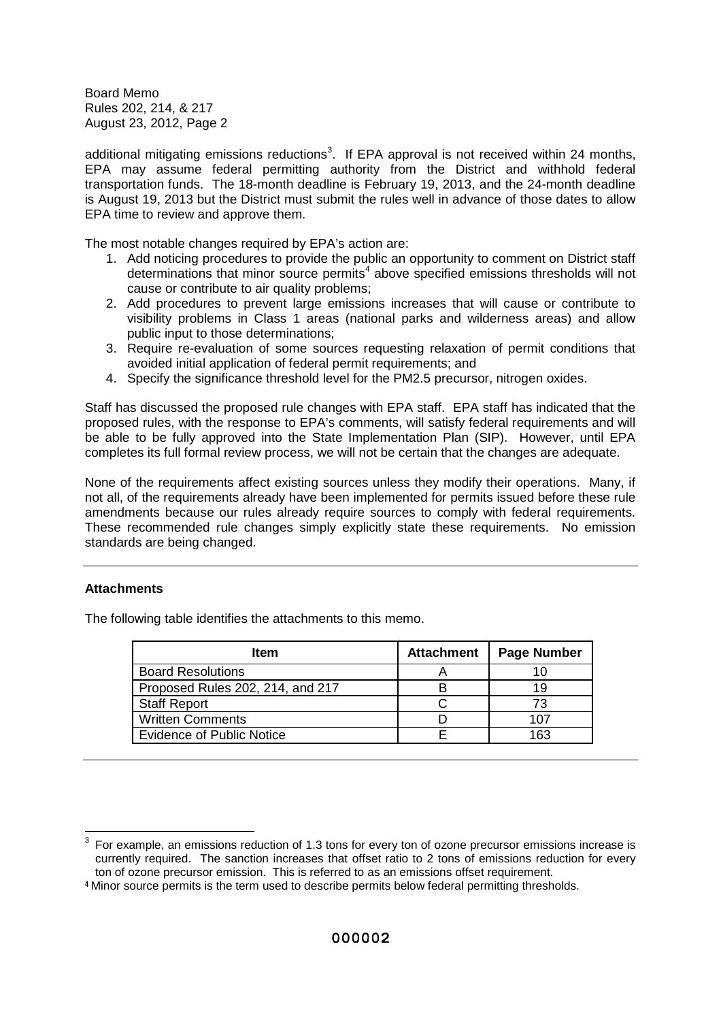additional mitigating emissions reductions<sup>3</sup>. If EPA approval is not received within 24 months, EPA may assume federal permitting authority from the District and withhold federal transportation funds. The 18-month deadline is February 19, 2013, and the 24-month deadline is August 19, 2013 but the District must submit the rules well in advance of those dates to allow EPA time to review and approve them.

The most notable changes required by EPA's action are:

- 1. Add noticing procedures to provide the public an opportunity to comment on District staff determinations that minor source permits<sup>4</sup> above specified emissions thresholds will not cause or contribute to air quality problems;
- 2. Add procedures to prevent large emissions increases that will cause or contribute to visibility problems in Class 1 areas (national parks and wilderness areas) and allow public input to those determinations;
- 3. Require re-evaluation of some sources requesting relaxation of permit conditions that avoided initial application of federal permit requirements; and
- 4. Specify the significance threshold level for the PM2.5 precursor, nitrogen oxides.

Staff has discussed the proposed rule changes with EPA staff. EPA staff has indicated that the proposed rules, with the response to EPA's comments, will satisfy federal requirements and will be able to be fully approved into the State Implementation Plan (SIP). However, until EPA completes its full formal review process, we will not be certain that the changes are adequate.

None of the requirements affect existing sources unless they modify their operations. Many, if not all, of the requirements already have been implemented for permits issued before these rule amendments because our rules already require sources to comply with federal requirements. These recommended rule changes simply explicitly state these requirements. No emission standards are being changed.

## **Attachments**

The following table identifies the attachments to this memo.

| <b>Item</b>                      | <b>Attachment</b> | <b>Page Number</b> |
|----------------------------------|-------------------|--------------------|
| <b>Board Resolutions</b>         |                   |                    |
| Proposed Rules 202, 214, and 217 |                   | 19                 |
| <b>Staff Report</b>              |                   | 73                 |
| <b>Written Comments</b>          |                   | 107                |
| <b>Evidence of Public Notice</b> |                   | 163                |

<sup>3</sup> For example, an emissions reduction of 1.3 tons for every ton of ozone precursor emissions increase is currently required. The sanction increases that offset ratio to 2 tons of emissions reduction for every ton of ozone precursor emission. This is referred to as an emissions offset requirement.

<sup>4</sup> Minor source permits is the term used to describe permits below federal permitting thresholds.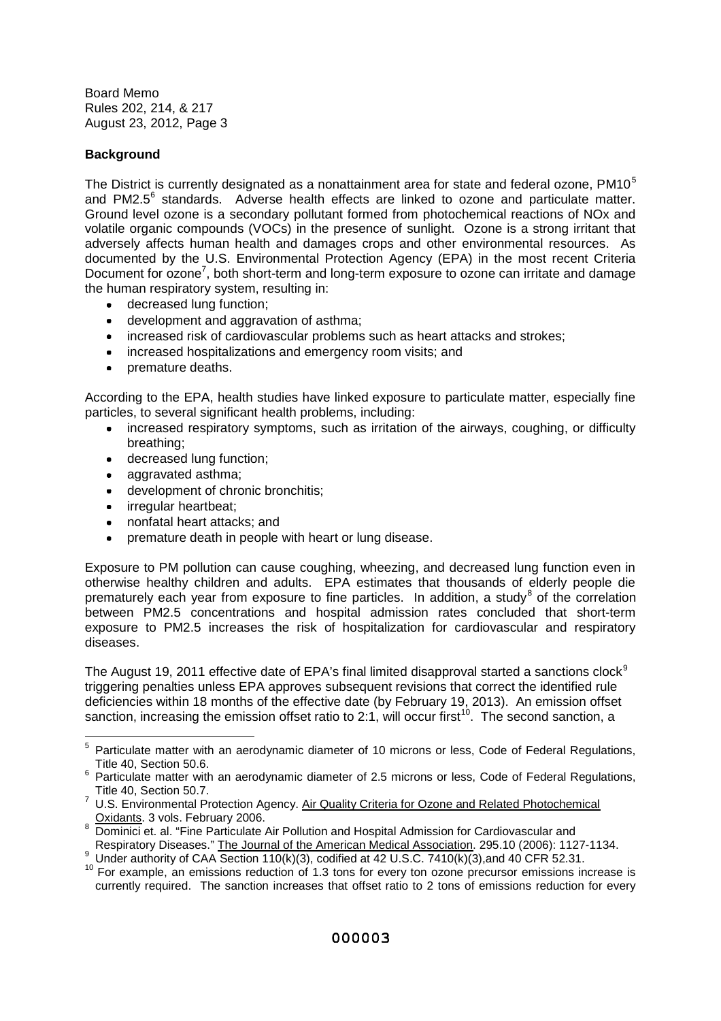# **Background**

The District is currently designated as a nonattainment area for state and federal ozone, PM10<sup>5</sup> and PM2.5 $<sup>6</sup>$  standards. Adverse health effects are linked to ozone and particulate matter.</sup> Ground level ozone is a secondary pollutant formed from photochemical reactions of NOx and volatile organic compounds (VOCs) in the presence of sunlight. Ozone is a strong irritant that adversely affects human health and damages crops and other environmental resources. As documented by the U.S. Environmental Protection Agency (EPA) in the most recent Criteria Document for ozone<sup>7</sup>, both short-term and long-term exposure to ozone can irritate and damage the human respiratory system, resulting in:

- decreased lung function;
- development and aggravation of asthma;
- increased risk of cardiovascular problems such as heart attacks and strokes;
- increased hospitalizations and emergency room visits; and
- premature deaths.

According to the EPA, health studies have linked exposure to particulate matter, especially fine particles, to several significant health problems, including:

- increased respiratory symptoms, such as irritation of the airways, coughing, or difficulty breathing;
- decreased lung function;
- aggravated asthma;
- development of chronic bronchitis;
- irregular heartbeat;
- nonfatal heart attacks; and
- premature death in people with heart or lung disease.

Exposure to PM pollution can cause coughing, wheezing, and decreased lung function even in otherwise healthy children and adults. EPA estimates that thousands of elderly people die prematurely each year from exposure to fine particles. In addition, a study<sup>8</sup> of the correlation between PM2.5 concentrations and hospital admission rates concluded that short-term exposure to PM2.5 increases the risk of hospitalization for cardiovascular and respiratory diseases.

The August 19, 2011 effective date of EPA's final limited disapproval started a sanctions clock<sup>9</sup> triggering penalties unless EPA approves subsequent revisions that correct the identified rule deficiencies within 18 months of the effective date (by February 19, 2013). An emission offset sanction, increasing the emission offset ratio to 2:1, will occur first<sup>10</sup>. The second sanction, a

<sup>&</sup>lt;sup>5</sup> Particulate matter with an aerodynamic diameter of 10 microns or less, Code of Federal Regulations, Title 40, Section 50.6.

 $6$  Particulate matter with an aerodynamic diameter of 2.5 microns or less, Code of Federal Regulations, Title 40, Section 50.7.

 $7$  U.S. Environmental Protection Agency. Air Quality Criteria for Ozone and Related Photochemical Oxidants. 3 vols. February 2006.

<sup>8</sup> Dominici et. al. "Fine Particulate Air Pollution and Hospital Admission for Cardiovascular and Respiratory Diseases." The Journal of the American Medical Association. 295.10 (2006): 1127-1134.

Under authority of CAA Section 110(k)(3), codified at 42 U.S.C. 7410(k)(3), and 40 CFR 52.31.

<sup>&</sup>lt;sup>10</sup> For example, an emissions reduction of 1.3 tons for every ton ozone precursor emissions increase is currently required. The sanction increases that offset ratio to 2 tons of emissions reduction for every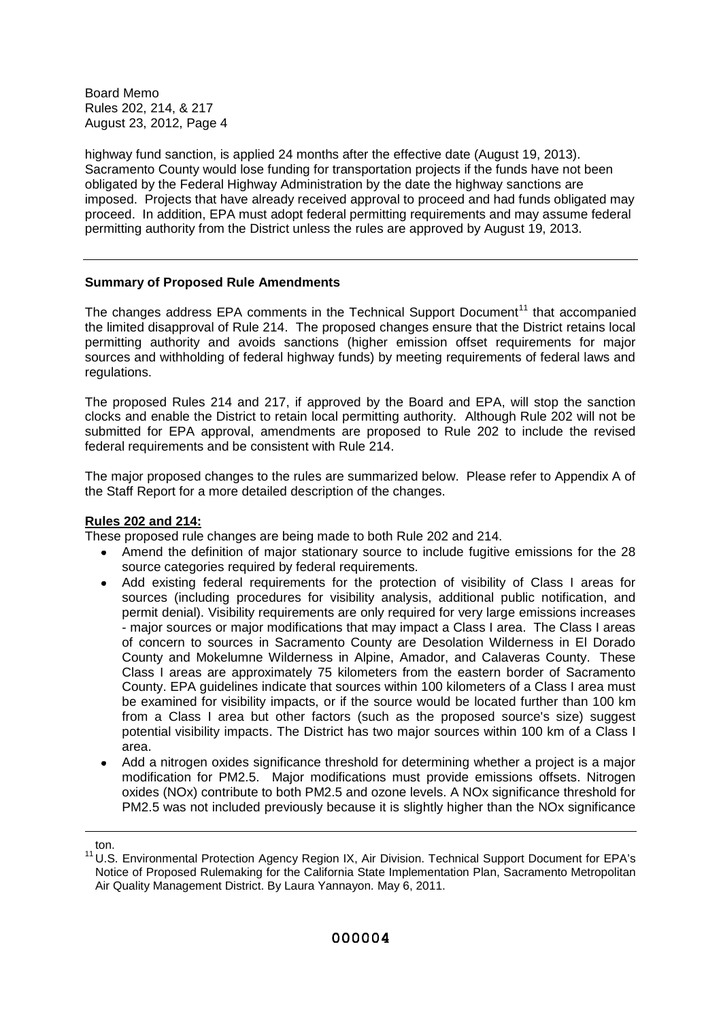highway fund sanction, is applied 24 months after the effective date (August 19, 2013). Sacramento County would lose funding for transportation projects if the funds have not been obligated by the Federal Highway Administration by the date the highway sanctions are imposed. Projects that have already received approval to proceed and had funds obligated may proceed. In addition, EPA must adopt federal permitting requirements and may assume federal permitting authority from the District unless the rules are approved by August 19, 2013.

## **Summary of Proposed Rule Amendments**

The changes address EPA comments in the Technical Support Document<sup>11</sup> that accompanied the limited disapproval of Rule 214. The proposed changes ensure that the District retains local permitting authority and avoids sanctions (higher emission offset requirements for major sources and withholding of federal highway funds) by meeting requirements of federal laws and regulations.

The proposed Rules 214 and 217, if approved by the Board and EPA, will stop the sanction clocks and enable the District to retain local permitting authority. Although Rule 202 will not be submitted for EPA approval, amendments are proposed to Rule 202 to include the revised federal requirements and be consistent with Rule 214.

The major proposed changes to the rules are summarized below. Please refer to Appendix A of the Staff Report for a more detailed description of the changes.

### **Rules 202 and 214:**

These proposed rule changes are being made to both Rule 202 and 214.

- Amend the definition of major stationary source to include fugitive emissions for the 28 source categories required by federal requirements.
- Add existing federal requirements for the protection of visibility of Class I areas for  $\bullet$ sources (including procedures for visibility analysis, additional public notification, and permit denial). Visibility requirements are only required for very large emissions increases - major sources or major modifications that may impact a Class I area. The Class I areas of concern to sources in Sacramento County are Desolation Wilderness in El Dorado County and Mokelumne Wilderness in Alpine, Amador, and Calaveras County. These Class I areas are approximately 75 kilometers from the eastern border of Sacramento County. EPA guidelines indicate that sources within 100 kilometers of a Class I area must be examined for visibility impacts, or if the source would be located further than 100 km from a Class I area but other factors (such as the proposed source's size) suggest potential visibility impacts. The District has two major sources within 100 km of a Class I area.
- Add a nitrogen oxides significance threshold for determining whether a project is a major  $\bullet$ modification for PM2.5. Major modifications must provide emissions offsets. Nitrogen oxides (NOx) contribute to both PM2.5 and ozone levels. A NOx significance threshold for PM2.5 was not included previously because it is slightly higher than the NOx significance

ton.

<sup>11</sup> U.S. Environmental Protection Agency Region IX, Air Division. Technical Support Document for EPA's Notice of Proposed Rulemaking for the California State Implementation Plan, Sacramento Metropolitan Air Quality Management District. By Laura Yannayon. May 6, 2011.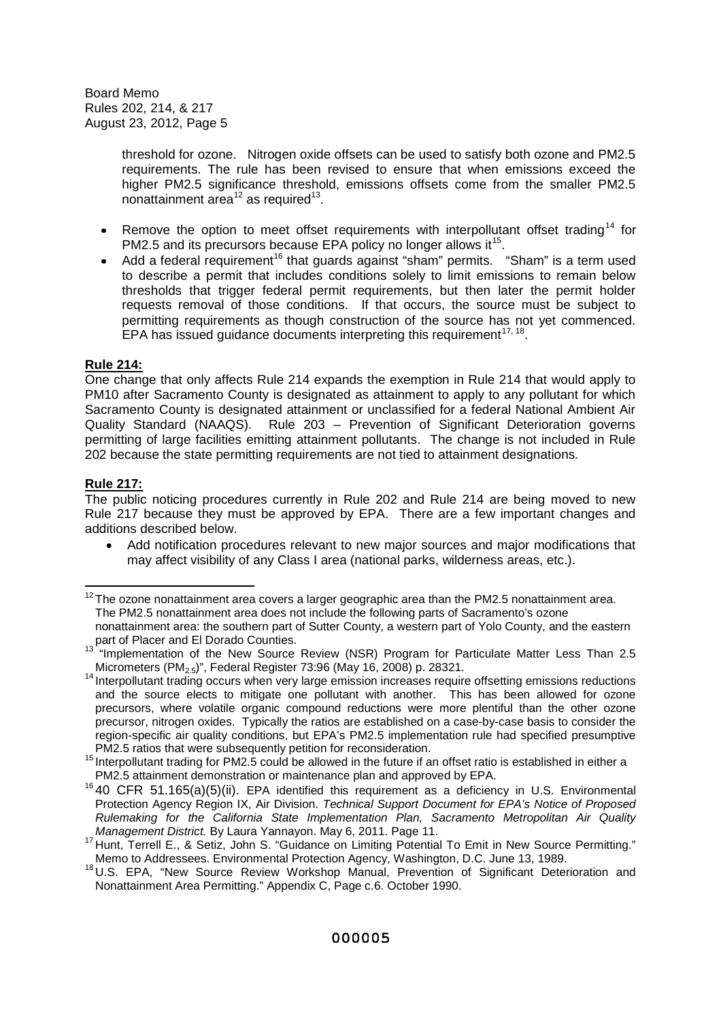> threshold for ozone. Nitrogen oxide offsets can be used to satisfy both ozone and PM2.5 requirements. The rule has been revised to ensure that when emissions exceed the higher PM2.5 significance threshold, emissions offsets come from the smaller PM2.5 nonattainment area $^{12}$  as required $^{13}$ .

- Remove the option to meet offset requirements with interpollutant offset trading<sup>14</sup> for  $\bullet$ PM2.5 and its precursors because EPA policy no longer allows it<sup>15</sup>.
- Add a federal requirement<sup>16</sup> that quards against "sham" permits. "Sham" is a term used to describe a permit that includes conditions solely to limit emissions to remain below thresholds that trigger federal permit requirements, but then later the permit holder requests removal of those conditions. If that occurs, the source must be subject to permitting requirements as though construction of the source has not yet commenced. EPA has issued guidance documents interpreting this requirement<sup>17, 18</sup>.

## **Rule 214:**

One change that only affects Rule 214 expands the exemption in Rule 214 that would apply to PM10 after Sacramento County is designated as attainment to apply to any pollutant for which Sacramento County is designated attainment or unclassified for a federal National Ambient Air Quality Standard (NAAQS). Rule 203 – Prevention of Significant Deterioration governs permitting of large facilities emitting attainment pollutants. The change is not included in Rule 202 because the state permitting requirements are not tied to attainment designations.

## **Rule 217:**

The public noticing procedures currently in Rule 202 and Rule 214 are being moved to new Rule 217 because they must be approved by EPA. There are a few important changes and additions described below.

Add notification procedures relevant to new major sources and major modifications that may affect visibility of any Class I area (national parks, wilderness areas, etc.).

 $12$  The ozone nonattainment area covers a larger geographic area than the PM2.5 nonattainment area. The PM2.5 nonattainment area does not include the following parts of Sacramento's ozone nonattainment area: the southern part of Sutter County, a western part of Yolo County, and the eastern

part of Placer and El Dorado Counties.

<sup>&</sup>lt;sup>13 "</sup>Implementation of the New Source Review (NSR) Program for Particulate Matter Less Than 2.5 Micrometers (PM<sub>2.5</sub>)", Federal Register 73:96 (May 16, 2008) p. 28321.

<sup>&</sup>lt;sup>14</sup> Interpollutant trading occurs when very large emission increases require offsetting emissions reductions and the source elects to mitigate one pollutant with another. This has been allowed for ozone precursors, where volatile organic compound reductions were more plentiful than the other ozone precursor, nitrogen oxides. Typically the ratios are established on a case-by-case basis to consider the region-specific air quality conditions, but EPA's PM2.5 implementation rule had specified presumptive PM2.5 ratios that were subsequently petition for reconsideration.

<sup>15</sup> Interpollutant trading for PM2.5 could be allowed in the future if an offset ratio is established in either a PM2.5 attainment demonstration or maintenance plan and approved by EPA.

 $16$  40 CFR 51.165(a)(5)(ii). EPA identified this requirement as a deficiency in U.S. Environmental Protection Agency Region IX, Air Division. *Technical Support Document for EPA's Notice of Proposed Rulemaking for the California State Implementation Plan, Sacramento Metropolitan Air Quality Management District.* By Laura Yannayon. May 6, 2011. Page 11.

<sup>17</sup> Hunt, Terrell E., & Setiz, John S. "Guidance on Limiting Potential To Emit in New Source Permitting." Memo to Addressees. Environmental Protection Agency, Washington, D.C. June 13, 1989.

<sup>18</sup> U.S. EPA, "New Source Review Workshop Manual, Prevention of Significant Deterioration and Nonattainment Area Permitting." Appendix C, Page c.6. October 1990.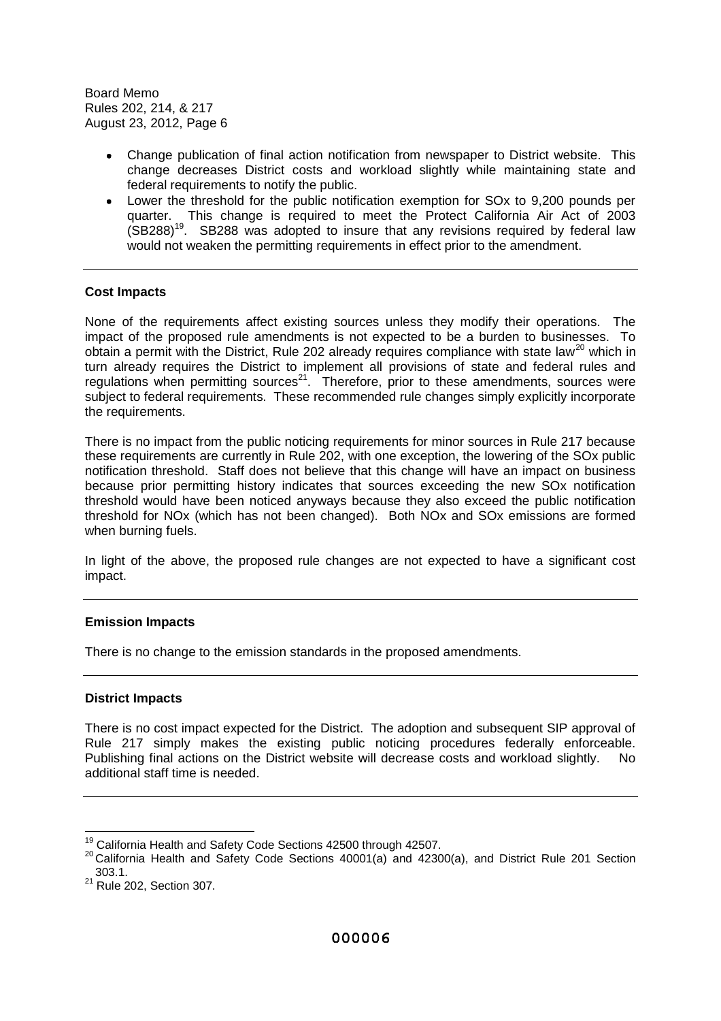- Change publication of final action notification from newspaper to District website. This change decreases District costs and workload slightly while maintaining state and federal requirements to notify the public.
- Lower the threshold for the public notification exemption for SOx to 9,200 pounds per quarter. This change is required to meet the Protect California Air Act of 2003  $(SB288)^{19}$ . SB288 was adopted to insure that any revisions required by federal law would not weaken the permitting requirements in effect prior to the amendment.

## **Cost Impacts**

None of the requirements affect existing sources unless they modify their operations. The impact of the proposed rule amendments is not expected to be a burden to businesses. To obtain a permit with the District, Rule 202 already requires compliance with state law<sup>20</sup> which in turn already requires the District to implement all provisions of state and federal rules and regulations when permitting sources<sup>21</sup>. Therefore, prior to these amendments, sources were subject to federal requirements. These recommended rule changes simply explicitly incorporate the requirements.

There is no impact from the public noticing requirements for minor sources in Rule 217 because these requirements are currently in Rule 202, with one exception, the lowering of the SOx public notification threshold. Staff does not believe that this change will have an impact on business because prior permitting history indicates that sources exceeding the new SOx notification threshold would have been noticed anyways because they also exceed the public notification threshold for NOx (which has not been changed). Both NOx and SOx emissions are formed when burning fuels.

In light of the above, the proposed rule changes are not expected to have a significant cost impact.

### **Emission Impacts**

There is no change to the emission standards in the proposed amendments.

### **District Impacts**

There is no cost impact expected for the District. The adoption and subsequent SIP approval of Rule 217 simply makes the existing public noticing procedures federally enforceable. Publishing final actions on the District website will decrease costs and workload slightly. No additional staff time is needed.

<sup>19</sup> California Health and Safety Code Sections 42500 through 42507.

<sup>20</sup> California Health and Safety Code Sections 40001(a) and 42300(a), and District Rule 201 Section 303.1.

<sup>&</sup>lt;sup>21</sup> Rule 202, Section 307.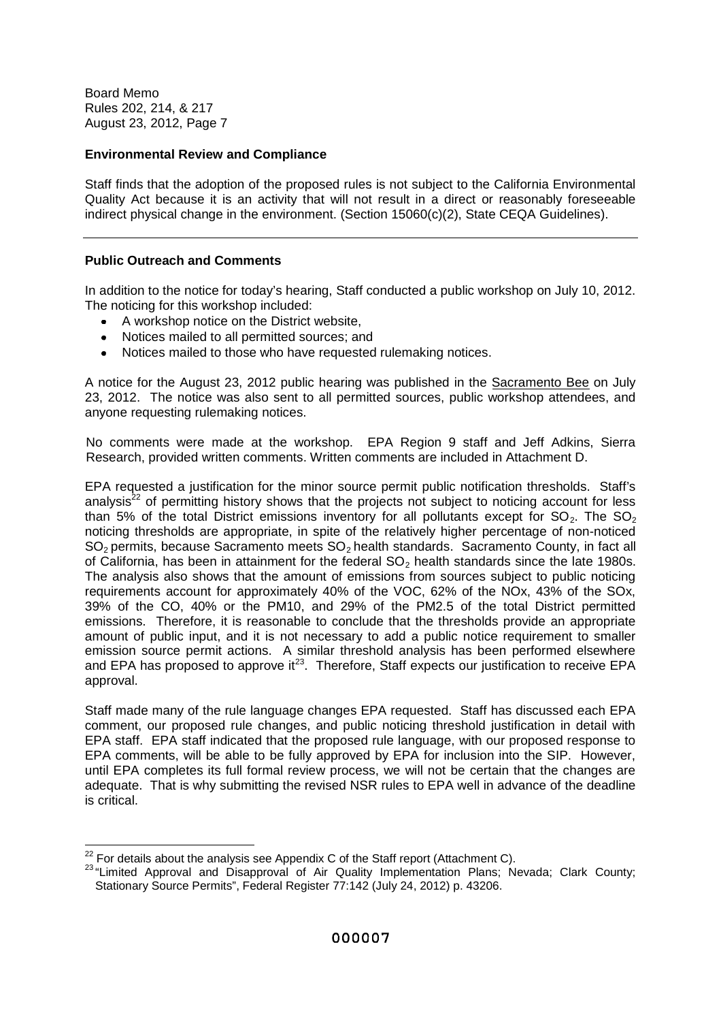## **Environmental Review and Compliance**

Staff finds that the adoption of the proposed rules is not subject to the California Environmental Quality Act because it is an activity that will not result in a direct or reasonably foreseeable indirect physical change in the environment. (Section 15060(c)(2), State CEQA Guidelines).

## **Public Outreach and Comments**

In addition to the notice for today's hearing, Staff conducted a public workshop on July 10, 2012. The noticing for this workshop included:

- $\bullet$ A workshop notice on the District website,
- Notices mailed to all permitted sources; and
- Notices mailed to those who have requested rulemaking notices.

A notice for the August 23, 2012 public hearing was published in the Sacramento Bee on July 23, 2012. The notice was also sent to all permitted sources, public workshop attendees, and anyone requesting rulemaking notices.

No comments were made at the workshop. EPA Region 9 staff and Jeff Adkins, Sierra Research, provided written comments. Written comments are included in Attachment D.

EPA requested a justification for the minor source permit public notification thresholds. Staff's analysis<sup> $22$ </sup> of permitting history shows that the projects not subject to noticing account for less than 5% of the total District emissions inventory for all pollutants except for  $SO<sub>2</sub>$ . The  $SO<sub>2</sub>$ noticing thresholds are appropriate, in spite of the relatively higher percentage of non-noticed SO<sup>2</sup> permits, because Sacramento meets SO<sup>2</sup> health standards. Sacramento County, in fact all of California, has been in attainment for the federal  $SO<sub>2</sub>$  health standards since the late 1980s. The analysis also shows that the amount of emissions from sources subject to public noticing requirements account for approximately 40% of the VOC, 62% of the NOx, 43% of the SOx, 39% of the CO, 40% or the PM10, and 29% of the PM2.5 of the total District permitted emissions. Therefore, it is reasonable to conclude that the thresholds provide an appropriate amount of public input, and it is not necessary to add a public notice requirement to smaller emission source permit actions. A similar threshold analysis has been performed elsewhere and EPA has proposed to approve it<sup>23</sup>. Therefore, Staff expects our justification to receive EPA approval.

Staff made many of the rule language changes EPA requested. Staff has discussed each EPA comment, our proposed rule changes, and public noticing threshold justification in detail with EPA staff. EPA staff indicated that the proposed rule language, with our proposed response to EPA comments, will be able to be fully approved by EPA for inclusion into the SIP. However, until EPA completes its full formal review process, we will not be certain that the changes are adequate. That is why submitting the revised NSR rules to EPA well in advance of the deadline is critical.

 $22$  For details about the analysis see Appendix C of the Staff report (Attachment C).

<sup>&</sup>lt;sup>23</sup> "Limited Approval and Disapproval of Air Quality Implementation Plans; Nevada; Clark County; Stationary Source Permits", Federal Register 77:142 (July 24, 2012) p. 43206.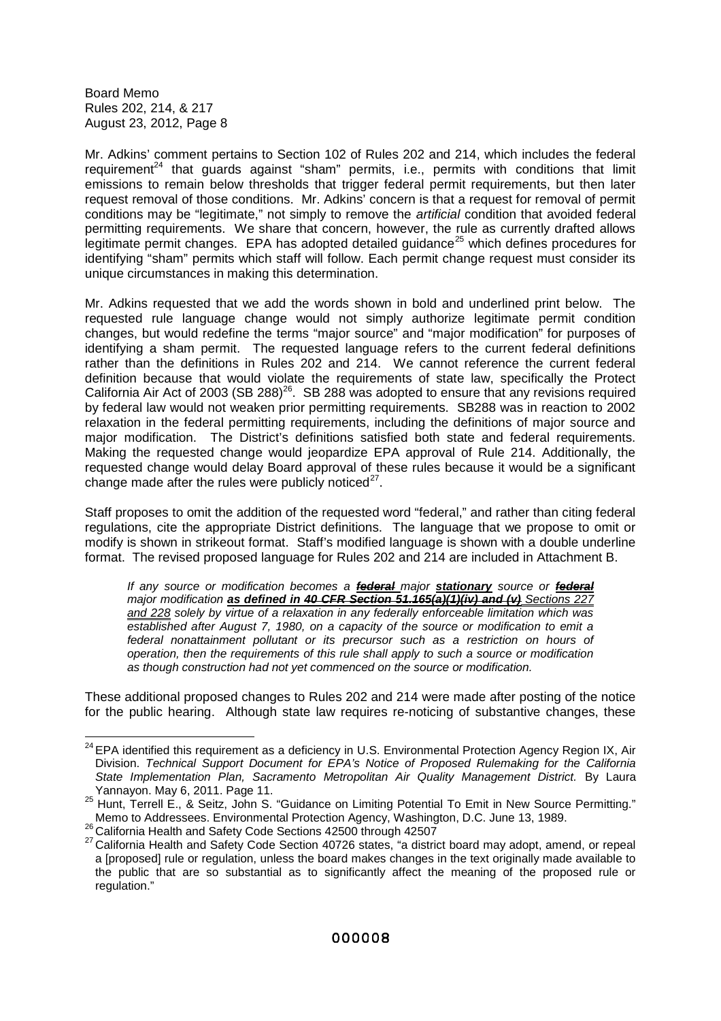Mr. Adkins' comment pertains to Section 102 of Rules 202 and 214, which includes the federal requirement<sup>24</sup> that guards against "sham" permits, i.e., permits with conditions that limit emissions to remain below thresholds that trigger federal permit requirements, but then later request removal of those conditions. Mr. Adkins' concern is that a request for removal of permit conditions may be "legitimate," not simply to remove the *artificial* condition that avoided federal permitting requirements. We share that concern, however, the rule as currently drafted allows legitimate permit changes. EPA has adopted detailed guidance<sup>25</sup> which defines procedures for identifying "sham" permits which staff will follow. Each permit change request must consider its unique circumstances in making this determination.

Mr. Adkins requested that we add the words shown in bold and underlined print below. The requested rule language change would not simply authorize legitimate permit condition changes, but would redefine the terms "major source" and "major modification" for purposes of identifying a sham permit. The requested language refers to the current federal definitions rather than the definitions in Rules 202 and 214. We cannot reference the current federal definition because that would violate the requirements of state law, specifically the Protect California Air Act of 2003 (SB 288)<sup>26</sup>. SB 288 was adopted to ensure that any revisions required by federal law would not weaken prior permitting requirements. SB288 was in reaction to 2002 relaxation in the federal permitting requirements, including the definitions of major source and major modification. The District's definitions satisfied both state and federal requirements. Making the requested change would jeopardize EPA approval of Rule 214. Additionally, the requested change would delay Board approval of these rules because it would be a significant change made after the rules were publicly noticed $^{27}$ .

Staff proposes to omit the addition of the requested word "federal," and rather than citing federal regulations, cite the appropriate District definitions. The language that we propose to omit or modify is shown in strikeout format. Staff's modified language is shown with a double underline format. The revised proposed language for Rules 202 and 214 are included in Attachment B.

*If any source or modification becomes a federal major stationary source or federal major modification as defined in 40 CFR Section 51.165(a)(1)(iv) and (v) Sections 227 and 228 solely by virtue of a relaxation in any federally enforceable limitation which was established after August 7, 1980, on a capacity of the source or modification to emit a federal nonattainment pollutant or its precursor such as a restriction on hours of operation, then the requirements of this rule shall apply to such a source or modification as though construction had not yet commenced on the source or modification.*

These additional proposed changes to Rules 202 and 214 were made after posting of the notice for the public hearing. Although state law requires re-noticing of substantive changes, these

<sup>&</sup>lt;sup>24</sup> EPA identified this requirement as a deficiency in U.S. Environmental Protection Agency Region IX, Air Division. *Technical Support Document for EPA's Notice of Proposed Rulemaking for the California State Implementation Plan, Sacramento Metropolitan Air Quality Management District.* By Laura Yannayon. May 6, 2011. Page 11.

<sup>25</sup> Hunt, Terrell E., & Seitz, John S. "Guidance on Limiting Potential To Emit in New Source Permitting." Memo to Addressees. Environmental Protection Agency, Washington, D.C. June 13, 1989.

<sup>&</sup>lt;sup>26</sup> California Health and Safety Code Sections 42500 through 42507

<sup>27</sup> California Health and Safety Code Section 40726 states, "a district board may adopt, amend, or repeal a [proposed] rule or regulation, unless the board makes changes in the text originally made available to the public that are so substantial as to significantly affect the meaning of the proposed rule or regulation."